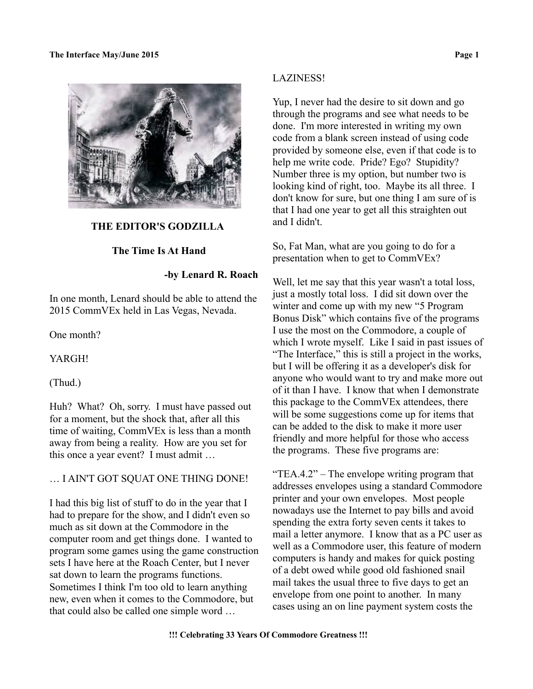

## **THE EDITOR'S GODZILLA**

## **The Time Is At Hand**

# **-by Lenard R. Roach**

In one month, Lenard should be able to attend the 2015 CommVEx held in Las Vegas, Nevada.

One month?

YARGH!

(Thud.)

Huh? What? Oh, sorry. I must have passed out for a moment, but the shock that, after all this time of waiting, CommVEx is less than a month away from being a reality. How are you set for this once a year event? I must admit …

# … I AIN'T GOT SQUAT ONE THING DONE!

I had this big list of stuff to do in the year that I had to prepare for the show, and I didn't even so much as sit down at the Commodore in the computer room and get things done. I wanted to program some games using the game construction sets I have here at the Roach Center, but I never sat down to learn the programs functions. Sometimes I think I'm too old to learn anything new, even when it comes to the Commodore, but that could also be called one simple word …

## LAZINESS!

Yup, I never had the desire to sit down and go through the programs and see what needs to be done. I'm more interested in writing my own code from a blank screen instead of using code provided by someone else, even if that code is to help me write code. Pride? Ego? Stupidity? Number three is my option, but number two is looking kind of right, too. Maybe its all three. I don't know for sure, but one thing I am sure of is that I had one year to get all this straighten out and I didn't.

So, Fat Man, what are you going to do for a presentation when to get to CommVEx?

Well, let me say that this year wasn't a total loss, just a mostly total loss. I did sit down over the winter and come up with my new "5 Program Bonus Disk" which contains five of the programs I use the most on the Commodore, a couple of which I wrote myself. Like I said in past issues of "The Interface," this is still a project in the works, but I will be offering it as a developer's disk for anyone who would want to try and make more out of it than I have. I know that when I demonstrate this package to the CommVEx attendees, there will be some suggestions come up for items that can be added to the disk to make it more user friendly and more helpful for those who access the programs. These five programs are:

"TEA.4.2" – The envelope writing program that addresses envelopes using a standard Commodore printer and your own envelopes. Most people nowadays use the Internet to pay bills and avoid spending the extra forty seven cents it takes to mail a letter anymore. I know that as a PC user as well as a Commodore user, this feature of modern computers is handy and makes for quick posting of a debt owed while good old fashioned snail mail takes the usual three to five days to get an envelope from one point to another. In many cases using an on line payment system costs the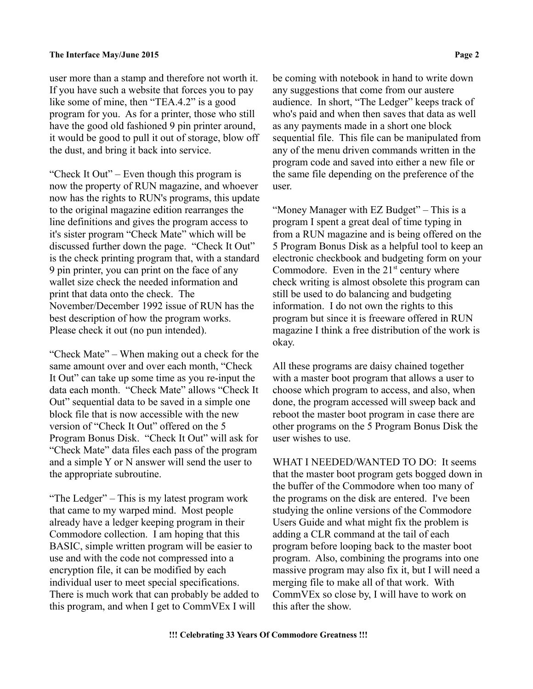user more than a stamp and therefore not worth it. If you have such a website that forces you to pay like some of mine, then "TEA.4.2" is a good program for you. As for a printer, those who still have the good old fashioned 9 pin printer around, it would be good to pull it out of storage, blow off the dust, and bring it back into service.

"Check It Out" – Even though this program is now the property of RUN magazine, and whoever now has the rights to RUN's programs, this update to the original magazine edition rearranges the line definitions and gives the program access to it's sister program "Check Mate" which will be discussed further down the page. "Check It Out" is the check printing program that, with a standard 9 pin printer, you can print on the face of any wallet size check the needed information and print that data onto the check. The November/December 1992 issue of RUN has the best description of how the program works. Please check it out (no pun intended).

"Check Mate" – When making out a check for the same amount over and over each month, "Check It Out" can take up some time as you re-input the data each month. "Check Mate" allows "Check It Out" sequential data to be saved in a simple one block file that is now accessible with the new version of "Check It Out" offered on the 5 Program Bonus Disk. "Check It Out" will ask for "Check Mate" data files each pass of the program and a simple Y or N answer will send the user to the appropriate subroutine.

"The Ledger" – This is my latest program work that came to my warped mind. Most people already have a ledger keeping program in their Commodore collection. I am hoping that this BASIC, simple written program will be easier to use and with the code not compressed into a encryption file, it can be modified by each individual user to meet special specifications. There is much work that can probably be added to this program, and when I get to CommVEx I will

be coming with notebook in hand to write down any suggestions that come from our austere audience. In short, "The Ledger" keeps track of who's paid and when then saves that data as well as any payments made in a short one block sequential file. This file can be manipulated from any of the menu driven commands written in the program code and saved into either a new file or the same file depending on the preference of the user.

"Money Manager with EZ Budget" – This is a program I spent a great deal of time typing in from a RUN magazine and is being offered on the 5 Program Bonus Disk as a helpful tool to keep an electronic checkbook and budgeting form on your Commodore. Even in the  $21<sup>st</sup>$  century where check writing is almost obsolete this program can still be used to do balancing and budgeting information. I do not own the rights to this program but since it is freeware offered in RUN magazine I think a free distribution of the work is okay.

All these programs are daisy chained together with a master boot program that allows a user to choose which program to access, and also, when done, the program accessed will sweep back and reboot the master boot program in case there are other programs on the 5 Program Bonus Disk the user wishes to use.

WHAT I NEEDED/WANTED TO DO: It seems that the master boot program gets bogged down in the buffer of the Commodore when too many of the programs on the disk are entered. I've been studying the online versions of the Commodore Users Guide and what might fix the problem is adding a CLR command at the tail of each program before looping back to the master boot program. Also, combining the programs into one massive program may also fix it, but I will need a merging file to make all of that work. With CommVEx so close by, I will have to work on this after the show.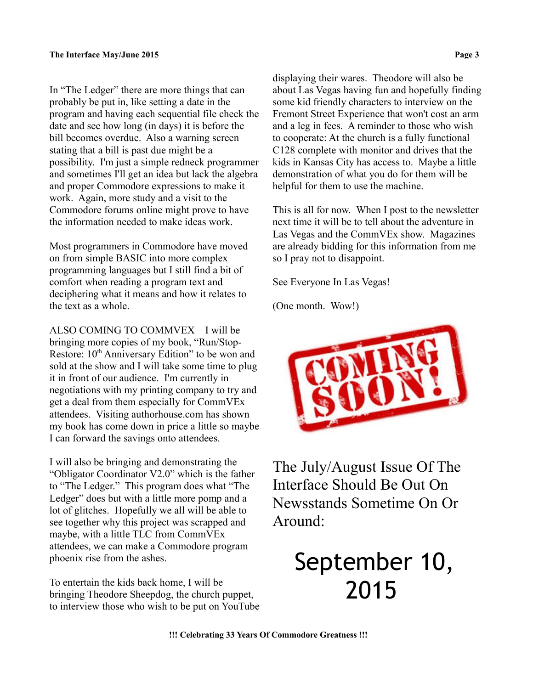In "The Ledger" there are more things that can probably be put in, like setting a date in the program and having each sequential file check the date and see how long (in days) it is before the bill becomes overdue. Also a warning screen stating that a bill is past due might be a possibility. I'm just a simple redneck programmer and sometimes I'll get an idea but lack the algebra and proper Commodore expressions to make it work. Again, more study and a visit to the Commodore forums online might prove to have the information needed to make ideas work.

Most programmers in Commodore have moved on from simple BASIC into more complex programming languages but I still find a bit of comfort when reading a program text and deciphering what it means and how it relates to the text as a whole.

ALSO COMING TO COMMVEX – I will be bringing more copies of my book, "Run/Stop-Restore: 10<sup>th</sup> Anniversary Edition" to be won and sold at the show and I will take some time to plug it in front of our audience. I'm currently in negotiations with my printing company to try and get a deal from them especially for CommVEx attendees. Visiting authorhouse.com has shown my book has come down in price a little so maybe I can forward the savings onto attendees.

I will also be bringing and demonstrating the "Obligator Coordinator V2.0" which is the father to "The Ledger." This program does what "The Ledger" does but with a little more pomp and a lot of glitches. Hopefully we all will be able to see together why this project was scrapped and maybe, with a little TLC from CommVEx attendees, we can make a Commodore program phoenix rise from the ashes.

To entertain the kids back home, I will be bringing Theodore Sheepdog, the church puppet, to interview those who wish to be put on YouTube displaying their wares. Theodore will also be about Las Vegas having fun and hopefully finding some kid friendly characters to interview on the Fremont Street Experience that won't cost an arm and a leg in fees. A reminder to those who wish to cooperate: At the church is a fully functional C128 complete with monitor and drives that the kids in Kansas City has access to. Maybe a little demonstration of what you do for them will be helpful for them to use the machine.

This is all for now. When I post to the newsletter next time it will be to tell about the adventure in Las Vegas and the CommVEx show. Magazines are already bidding for this information from me so I pray not to disappoint.

See Everyone In Las Vegas!

(One month. Wow!)



The July/August Issue Of The Interface Should Be Out On Newsstands Sometime On Or Around:

# September 10, 2015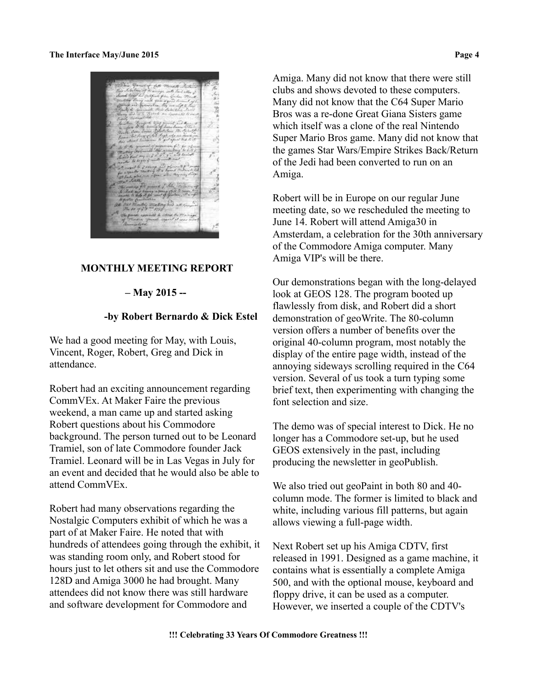## **MONTHLY MEETING REPORT**

## **– May 2015 --**

## **-by Robert Bernardo & Dick Estel**

We had a good meeting for May, with Louis, Vincent, Roger, Robert, Greg and Dick in attendance.

Robert had an exciting announcement regarding CommVEx. At Maker Faire the previous weekend, a man came up and started asking Robert questions about his Commodore background. The person turned out to be Leonard Tramiel, son of late Commodore founder Jack Tramiel. Leonard will be in Las Vegas in July for an event and decided that he would also be able to attend CommVEx.

Robert had many observations regarding the Nostalgic Computers exhibit of which he was a part of at Maker Faire. He noted that with hundreds of attendees going through the exhibit, it was standing room only, and Robert stood for hours just to let others sit and use the Commodore 128D and Amiga 3000 he had brought. Many attendees did not know there was still hardware and software development for Commodore and

Amiga. Many did not know that there were still clubs and shows devoted to these computers. Many did not know that the C64 Super Mario Bros was a re-done Great Giana Sisters game which itself was a clone of the real Nintendo Super Mario Bros game. Many did not know that the games Star Wars/Empire Strikes Back/Return of the Jedi had been converted to run on an Amiga.

Robert will be in Europe on our regular June meeting date, so we rescheduled the meeting to June 14. Robert will attend Amiga30 in Amsterdam, a celebration for the 30th anniversary of the Commodore Amiga computer. Many Amiga VIP's will be there.

Our demonstrations began with the long-delayed look at GEOS 128. The program booted up flawlessly from disk, and Robert did a short demonstration of geoWrite. The 80-column version offers a number of benefits over the original 40-column program, most notably the display of the entire page width, instead of the annoying sideways scrolling required in the C64 version. Several of us took a turn typing some brief text, then experimenting with changing the font selection and size.

The demo was of special interest to Dick. He no longer has a Commodore set-up, but he used GEOS extensively in the past, including producing the newsletter in geoPublish.

We also tried out geoPaint in both 80 and 40 column mode. The former is limited to black and white, including various fill patterns, but again allows viewing a full-page width.

Next Robert set up his Amiga CDTV, first released in 1991. Designed as a game machine, it contains what is essentially a complete Amiga 500, and with the optional mouse, keyboard and floppy drive, it can be used as a computer. However, we inserted a couple of the CDTV's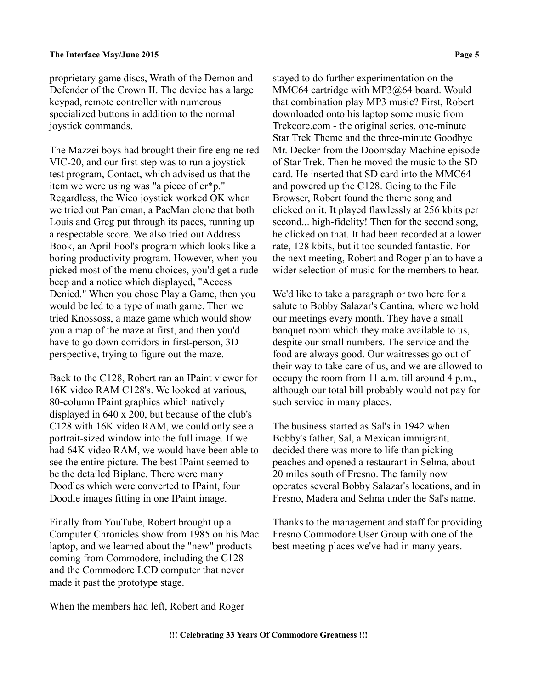proprietary game discs, Wrath of the Demon and Defender of the Crown II. The device has a large keypad, remote controller with numerous specialized buttons in addition to the normal joystick commands.

The Mazzei boys had brought their fire engine red VIC-20, and our first step was to run a joystick test program, Contact, which advised us that the item we were using was "a piece of cr\*p." Regardless, the Wico joystick worked OK when we tried out Panicman, a PacMan clone that both Louis and Greg put through its paces, running up a respectable score. We also tried out Address Book, an April Fool's program which looks like a boring productivity program. However, when you picked most of the menu choices, you'd get a rude beep and a notice which displayed, "Access Denied." When you chose Play a Game, then you would be led to a type of math game. Then we tried Knossoss, a maze game which would show you a map of the maze at first, and then you'd have to go down corridors in first-person, 3D perspective, trying to figure out the maze.

Back to the C128, Robert ran an IPaint viewer for 16K video RAM C128's. We looked at various, 80-column IPaint graphics which natively displayed in 640 x 200, but because of the club's C128 with 16K video RAM, we could only see a portrait-sized window into the full image. If we had 64K video RAM, we would have been able to see the entire picture. The best IPaint seemed to be the detailed Biplane. There were many Doodles which were converted to IPaint, four Doodle images fitting in one IPaint image.

Finally from YouTube, Robert brought up a Computer Chronicles show from 1985 on his Mac laptop, and we learned about the "new" products coming from Commodore, including the C128 and the Commodore LCD computer that never made it past the prototype stage.

stayed to do further experimentation on the MMC64 cartridge with MP3@64 board. Would that combination play MP3 music? First, Robert downloaded onto his laptop some music from Trekcore.com - the original series, one-minute Star Trek Theme and the three-minute Goodbye Mr. Decker from the Doomsday Machine episode of Star Trek. Then he moved the music to the SD card. He inserted that SD card into the MMC64 and powered up the C128. Going to the File Browser, Robert found the theme song and clicked on it. It played flawlessly at 256 kbits per second... high-fidelity! Then for the second song, he clicked on that. It had been recorded at a lower rate, 128 kbits, but it too sounded fantastic. For the next meeting, Robert and Roger plan to have a wider selection of music for the members to hear.

We'd like to take a paragraph or two here for a salute to Bobby Salazar's Cantina, where we hold our meetings every month. They have a small banquet room which they make available to us, despite our small numbers. The service and the food are always good. Our waitresses go out of their way to take care of us, and we are allowed to occupy the room from 11 a.m. till around 4 p.m., although our total bill probably would not pay for such service in many places.

The business started as Sal's in 1942 when Bobby's father, Sal, a Mexican immigrant, decided there was more to life than picking peaches and opened a restaurant in Selma, about 20 miles south of Fresno. The family now operates several Bobby Salazar's locations, and in Fresno, Madera and Selma under the Sal's name.

Thanks to the management and staff for providing Fresno Commodore User Group with one of the best meeting places we've had in many years.

When the members had left, Robert and Roger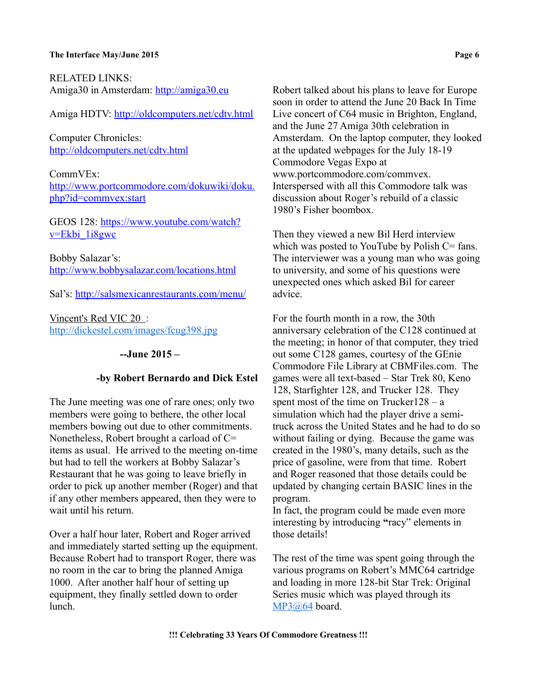RELATED LINKS: Amiga30 in Amsterdam: [http://amiga30.eu](http://amiga30.eu/)

Amiga HDTV:<http://oldcomputers.net/cdtv.html>

Computer Chronicles: <http://oldcomputers.net/cdtv.html>

CommVEx: [http://www.portcommodore.com/dokuwiki/doku.](http://www.portcommodore.com/dokuwiki/doku.php?id=commvex:start) [php?id=commvex:start](http://www.portcommodore.com/dokuwiki/doku.php?id=commvex:start)

GEOS 128: [https://www.youtube.com/watch?](https://www.youtube.com/watch?v=Ekbi_1i8gwc) [v=Ekbi\\_1i8gwc](https://www.youtube.com/watch?v=Ekbi_1i8gwc)

Bobby Salazar's: <http://www.bobbysalazar.com/locations.html>

Sal's:<http://salsmexicanrestaurants.com/menu/>

Vincent's Red VIC 20 : <http://dickestel.com/images/fcug398.jpg>

## **--June 2015 –**

#### **-by Robert Bernardo and Dick Estel**

The June meeting was one of rare ones; only two members were going to bethere, the other local members bowing out due to other commitments. Nonetheless, Robert brought a carload of C= items as usual. He arrived to the meeting on-time but had to tell the workers at Bobby Salazar's Restaurant that he was going to leave briefly in order to pick up another member (Roger) and that if any other members appeared, then they were to wait until his return.

Over a half hour later, Robert and Roger arrived and immediately started setting up the equipment. Because Robert had to transport Roger, there was no room in the car to bring the planned Amiga 1000. After another half hour of setting up equipment, they finally settled down to order lunch.

Robert talked about his plans to leave for Europe soon in order to attend the June 20 Back In Time Live concert of C64 music in Brighton, England, and the June 27 Amiga 30th celebration in Amsterdam. On the laptop computer, they looked at the updated webpages for the July 18-19 Commodore Vegas Expo at www.portcommodore.com/commvex. Interspersed with all this Commodore talk was discussion about Roger's rebuild of a classic 1980's Fisher boombox.

Then they viewed a new Bil Herd interview which was posted to YouTube by Polish  $C = \text{fans}$ . The interviewer was a young man who was going to university, and some of his questions were unexpected ones which asked Bil for career advice.

For the fourth month in a row, the 30th anniversary celebration of the C128 continued at the meeting; in honor of that computer, they tried out some C128 games, courtesy of the GEnie Commodore File Library at CBMFiles.com. The games were all text-based – Star Trek 80, Keno 128, Starfighter 128, and Trucker 128. They spent most of the time on Trucker  $128 - a$ simulation which had the player drive a semitruck across the United States and he had to do so without failing or dying. Because the game was created in the 1980's, many details, such as the price of gasoline, were from that time. Robert and Roger reasoned that those details could be updated by changing certain BASIC lines in the program.

In fact, the program could be made even more interesting by introducing **"**racy" elements in those details!

The rest of the time was spent going through the various programs on Robert's MMC64 cartridge and loading in more 128-bit Star Trek: Original Series music which was played through its [MP3@64](mailto:MP3@64) board.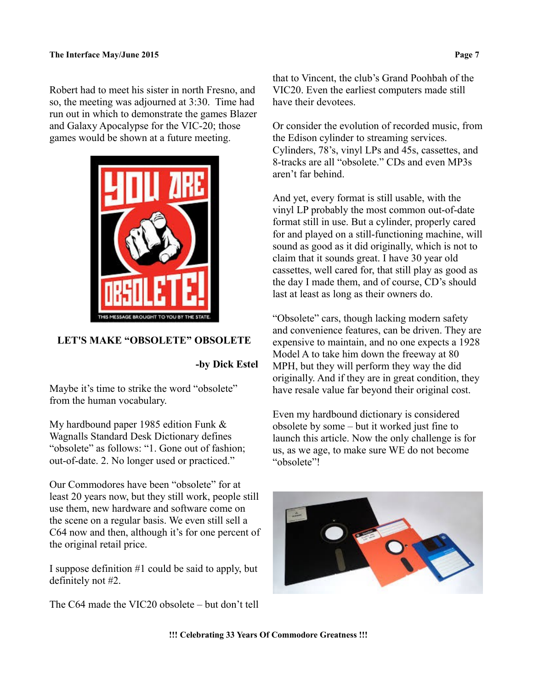Robert had to meet his sister in north Fresno, and so, the meeting was adjourned at 3:30. Time had run out in which to demonstrate the games Blazer and Galaxy Apocalypse for the VIC-20; those games would be shown at a future meeting.



## **LET'S MAKE "OBSOLETE" OBSOLETE**

**-by Dick Estel**

Maybe it's time to strike the word "obsolete" from the human vocabulary.

My hardbound paper 1985 edition Funk & Wagnalls Standard Desk Dictionary defines "obsolete" as follows: "1. Gone out of fashion; out-of-date. 2. No longer used or practiced."

Our Commodores have been "obsolete" for at least 20 years now, but they still work, people still use them, new hardware and software come on the scene on a regular basis. We even still sell a C64 now and then, although it's for one percent of the original retail price.

I suppose definition #1 could be said to apply, but definitely not #2.

The C64 made the VIC20 obsolete – but don't tell

that to Vincent, the club's Grand Poohbah of the VIC20. Even the earliest computers made still have their devotees.

Or consider the evolution of recorded music, from the Edison cylinder to streaming services. Cylinders, 78's, vinyl LPs and 45s, cassettes, and 8-tracks are all "obsolete." CDs and even MP3s aren't far behind.

And yet, every format is still usable, with the vinyl LP probably the most common out-of-date format still in use. But a cylinder, properly cared for and played on a still-functioning machine, will sound as good as it did originally, which is not to claim that it sounds great. I have 30 year old cassettes, well cared for, that still play as good as the day I made them, and of course, CD's should last at least as long as their owners do.

"Obsolete" cars, though lacking modern safety and convenience features, can be driven. They are expensive to maintain, and no one expects a 1928 Model A to take him down the freeway at 80 MPH, but they will perform they way the did originally. And if they are in great condition, they have resale value far beyond their original cost.

Even my hardbound dictionary is considered obsolete by some – but it worked just fine to launch this article. Now the only challenge is for us, as we age, to make sure WE do not become "obsolete"!

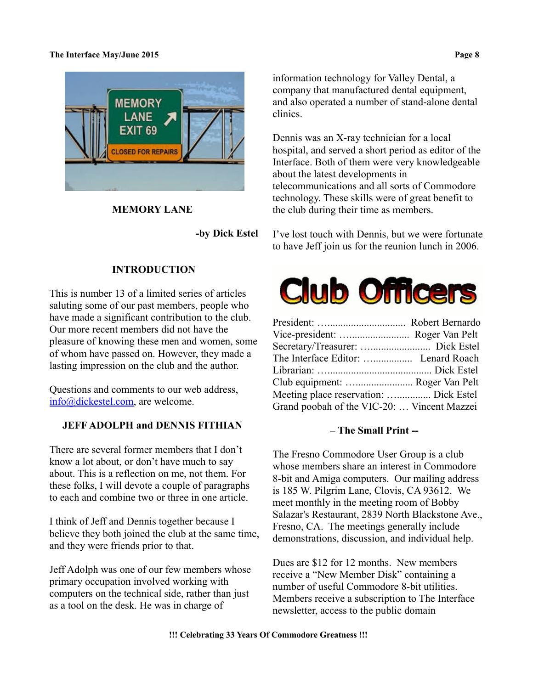

 **MEMORY LANE**

 **-by Dick Estel**

# **INTRODUCTION**

This is number 13 of a limited series of articles saluting some of our past members, people who have made a significant contribution to the club. Our more recent members did not have the pleasure of knowing these men and women, some of whom have passed on. However, they made a lasting impression on the club and the author.

Questions and comments to our web address, [info@dickestel.com,](mailto:info@dickestel.com) are welcome.

## **JEFF ADOLPH and DENNIS FITHIAN**

There are several former members that I don't know a lot about, or don't have much to say about. This is a reflection on me, not them. For these folks, I will devote a couple of paragraphs to each and combine two or three in one article.

I think of Jeff and Dennis together because I believe they both joined the club at the same time, and they were friends prior to that.

Jeff Adolph was one of our few members whose primary occupation involved working with computers on the technical side, rather than just as a tool on the desk. He was in charge of

information technology for Valley Dental, a company that manufactured dental equipment, and also operated a number of stand-alone dental clinics.

Dennis was an X-ray technician for a local hospital, and served a short period as editor of the Interface. Both of them were very knowledgeable about the latest developments in telecommunications and all sorts of Commodore technology. These skills were of great benefit to the club during their time as members.

I've lost touch with Dennis, but we were fortunate to have Jeff join us for the reunion lunch in 2006.



| Club equipment:  Roger Van Pelt             |  |
|---------------------------------------------|--|
| Meeting place reservation:  Dick Estel      |  |
| Grand poobah of the VIC-20:  Vincent Mazzei |  |

## **– The Small Print --**

The Fresno Commodore User Group is a club whose members share an interest in Commodore 8-bit and Amiga computers. Our mailing address is 185 W. Pilgrim Lane, Clovis, CA 93612. We meet monthly in the meeting room of Bobby Salazar's Restaurant, 2839 North Blackstone Ave., Fresno, CA. The meetings generally include demonstrations, discussion, and individual help.

Dues are \$12 for 12 months. New members receive a "New Member Disk" containing a number of useful Commodore 8-bit utilities. Members receive a subscription to The Interface newsletter, access to the public domain